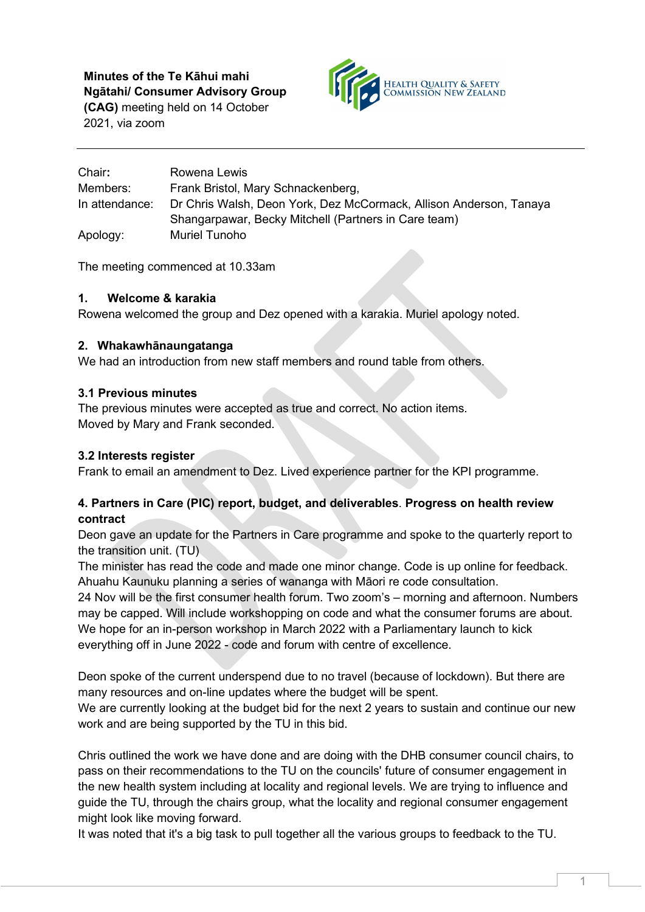**Minutes of the Te Kāhui mahi Ngātahi/ Consumer Advisory Group** 

**(CAG)** meeting held on 14 October 2021, via zoom



| Chair:         | Rowena Lewis                                                       |
|----------------|--------------------------------------------------------------------|
| Members:       | Frank Bristol, Mary Schnackenberg,                                 |
| In attendance: | Dr Chris Walsh, Deon York, Dez McCormack, Allison Anderson, Tanaya |
|                | Shangarpawar, Becky Mitchell (Partners in Care team)               |
| Apology:       | Muriel Tunoho                                                      |

The meeting commenced at 10.33am

#### **1. Welcome & karakia**

Rowena welcomed the group and Dez opened with a karakia. Muriel apology noted.

#### **2. Whakawhānaungatanga**

We had an introduction from new staff members and round table from others.

#### **3.1 Previous minutes**

The previous minutes were accepted as true and correct. No action items. Moved by Mary and Frank seconded.

### **3.2 Interests register**

Frank to email an amendment to Dez. Lived experience partner for the KPI programme.

## **4. Partners in Care (PIC) report, budget, and deliverables**. **Progress on health review contract**

Deon gave an update for the Partners in Care programme and spoke to the quarterly report to the transition unit. (TU)

The minister has read the code and made one minor change. Code is up online for feedback. Ahuahu Kaunuku planning a series of wananga with Māori re code consultation.

24 Nov will be the first consumer health forum. Two zoom's – morning and afternoon. Numbers may be capped. Will include workshopping on code and what the consumer forums are about. We hope for an in-person workshop in March 2022 with a Parliamentary launch to kick everything off in June 2022 - code and forum with centre of excellence.

Deon spoke of the current underspend due to no travel (because of lockdown). But there are many resources and on-line updates where the budget will be spent.

We are currently looking at the budget bid for the next 2 years to sustain and continue our new work and are being supported by the TU in this bid.

Chris outlined the work we have done and are doing with the DHB consumer council chairs, to pass on their recommendations to the TU on the councils' future of consumer engagement in the new health system including at locality and regional levels. We are trying to influence and guide the TU, through the chairs group, what the locality and regional consumer engagement might look like moving forward.

It was noted that it's a big task to pull together all the various groups to feedback to the TU.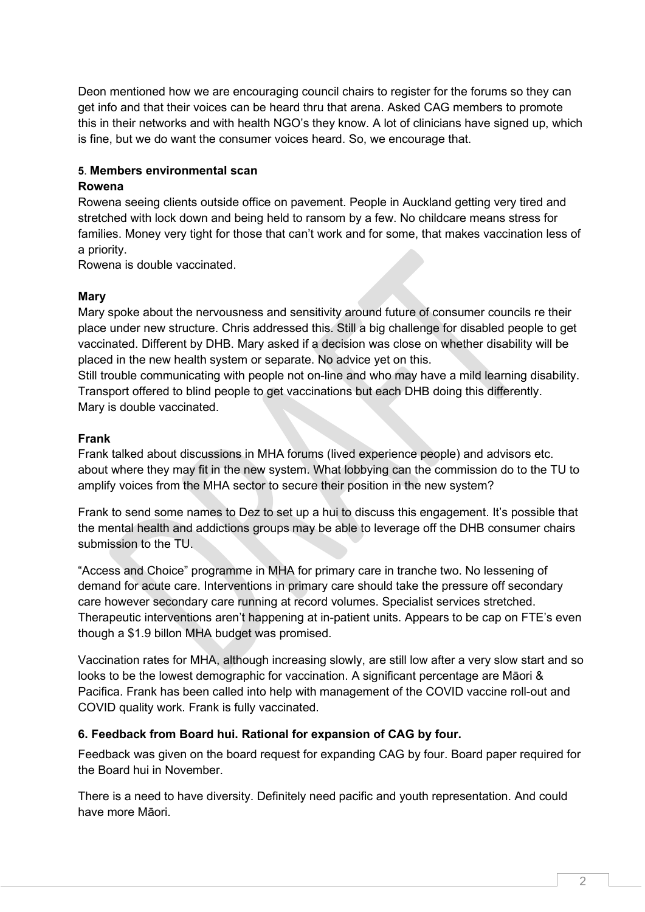Deon mentioned how we are encouraging council chairs to register for the forums so they can get info and that their voices can be heard thru that arena. Asked CAG members to promote this in their networks and with health NGO's they know. A lot of clinicians have signed up, which is fine, but we do want the consumer voices heard. So, we encourage that.

#### **5**. **Members environmental scan**

#### **Rowena**

Rowena seeing clients outside office on pavement. People in Auckland getting very tired and stretched with lock down and being held to ransom by a few. No childcare means stress for families. Money very tight for those that can't work and for some, that makes vaccination less of a priority.

Rowena is double vaccinated.

#### **Mary**

Mary spoke about the nervousness and sensitivity around future of consumer councils re their place under new structure. Chris addressed this. Still a big challenge for disabled people to get vaccinated. Different by DHB. Mary asked if a decision was close on whether disability will be placed in the new health system or separate. No advice yet on this.

Still trouble communicating with people not on-line and who may have a mild learning disability. Transport offered to blind people to get vaccinations but each DHB doing this differently. Mary is double vaccinated.

#### **Frank**

Frank talked about discussions in MHA forums (lived experience people) and advisors etc. about where they may fit in the new system. What lobbying can the commission do to the TU to amplify voices from the MHA sector to secure their position in the new system?

Frank to send some names to Dez to set up a hui to discuss this engagement. It's possible that the mental health and addictions groups may be able to leverage off the DHB consumer chairs submission to the TU.

"Access and Choice" programme in MHA for primary care in tranche two. No lessening of demand for acute care. Interventions in primary care should take the pressure off secondary care however secondary care running at record volumes. Specialist services stretched. Therapeutic interventions aren't happening at in-patient units. Appears to be cap on FTE's even though a \$1.9 billon MHA budget was promised.

Vaccination rates for MHA, although increasing slowly, are still low after a very slow start and so looks to be the lowest demographic for vaccination. A significant percentage are Māori & Pacifica. Frank has been called into help with management of the COVID vaccine roll-out and COVID quality work. Frank is fully vaccinated.

## **6. Feedback from Board hui. Rational for expansion of CAG by four.**

Feedback was given on the board request for expanding CAG by four. Board paper required for the Board hui in November.

There is a need to have diversity. Definitely need pacific and youth representation. And could have more Māori.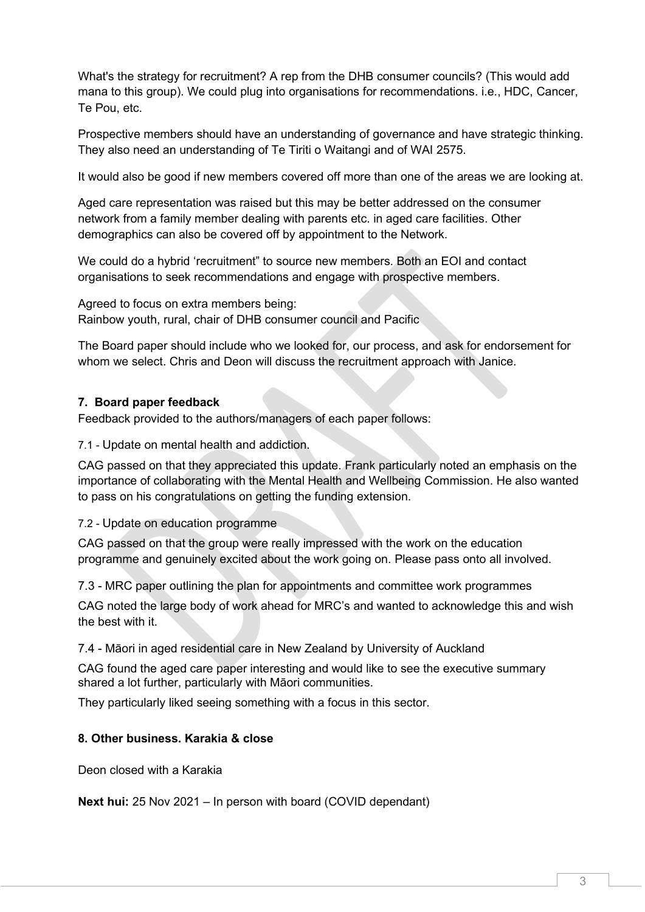What's the strategy for recruitment? A rep from the DHB consumer councils? (This would add mana to this group). We could plug into organisations for recommendations. i.e., HDC, Cancer, Te Pou, etc.

Prospective members should have an understanding of governance and have strategic thinking. They also need an understanding of Te Tiriti o Waitangi and of WAI 2575.

It would also be good if new members covered off more than one of the areas we are looking at.

Aged care representation was raised but this may be better addressed on the consumer network from a family member dealing with parents etc. in aged care facilities. Other demographics can also be covered off by appointment to the Network.

We could do a hybrid 'recruitment" to source new members. Both an EOI and contact organisations to seek recommendations and engage with prospective members.

Agreed to focus on extra members being: Rainbow youth, rural, chair of DHB consumer council and Pacific

The Board paper should include who we looked for, our process, and ask for endorsement for whom we select. Chris and Deon will discuss the recruitment approach with Janice.

## **7. Board paper feedback**

Feedback provided to the authors/managers of each paper follows:

7.1 - Update on mental health and addiction.

CAG passed on that they appreciated this update. Frank particularly noted an emphasis on the importance of collaborating with the Mental Health and Wellbeing Commission. He also wanted to pass on his congratulations on getting the funding extension.

## 7.2 - Update on education programme

CAG passed on that the group were really impressed with the work on the education programme and genuinely excited about the work going on. Please pass onto all involved.

7.3 - MRC paper outlining the plan for appointments and committee work programmes

CAG noted the large body of work ahead for MRC's and wanted to acknowledge this and wish the best with it.

7.4 - Māori in aged residential care in New Zealand by University of Auckland

CAG found the aged care paper interesting and would like to see the executive summary shared a lot further, particularly with Māori communities.

They particularly liked seeing something with a focus in this sector.

#### **8. Other business. Karakia & close**

Deon closed with a Karakia

**Next hui:** 25 Nov 2021 – In person with board (COVID dependant)